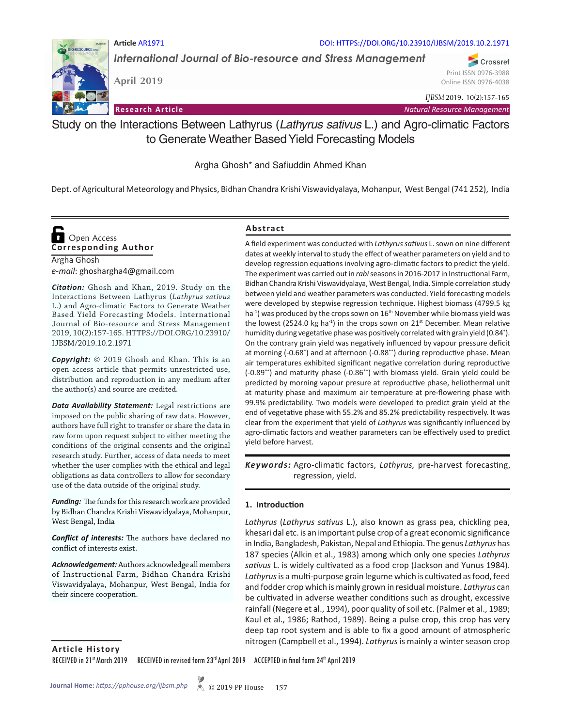#### **Article** AR1971 DOI: HTTPS://DOI.ORG/10.23910/IJBSM/2019.10.2.1971

*International Journal of Bio-resource and Stress Management*

**April 2019**

Online ISSN 0976-4038

*IJBSM* 2019, 10(2):157-165

**Research Article** *Natural Resource Management*

Study on the Interactions Between Lathyrus (*Lathyrus sativus* L.) and Agro-climatic Factors to Generate Weather Based Yield Forecasting Models

Argha Ghosh\* and Safiuddin Ahmed Khan

Dept. of Agricultural Meteorology and Physics, Bidhan Chandra Krishi Viswavidyalaya, Mohanpur, West Bengal (741 252), India

# **Corresponding Author**  Open Access

Argha Ghosh *e-mail*: ghoshargha4@gmail.com

*Citation:* Ghosh and Khan, 2019. Study on the Interactions Between Lathyrus (*Lathyrus sativus*  L.) and Agro-climatic Factors to Generate Weather Based Yield Forecasting Models. International Journal of Bio-resource and Stress Management 2019, 10(2):157-165. HTTPS://DOI.ORG/10.23910/ IJBSM/2019.10.2.1971

*Copyright:* © 2019 Ghosh and Khan. This is an open access article that permits unrestricted use, distribution and reproduction in any medium after the author(s) and source are credited.

*Data Availability Statement:* Legal restrictions are imposed on the public sharing of raw data. However, authors have full right to transfer or share the data in raw form upon request subject to either meeting the conditions of the original consents and the original research study. Further, access of data needs to meet whether the user complies with the ethical and legal obligations as data controllers to allow for secondary use of the data outside of the original study.

*Funding:* The funds for this research work are provided by Bidhan Chandra Krishi Viswavidyalaya, Mohanpur, West Bengal, India

*Conflict of interests:* The authors have declared no conflict of interests exist.

*Acknowledgement:*Authors acknowledge all members of Instructional Farm, Bidhan Chandra Krishi Viswavidyalaya, Mohanpur, West Bengal, India for their sincere cooperation.

#### **Abstract**

A field experiment was conducted with *Lathyrus sativus* L. sown on nine different dates at weekly interval to study the effect of weather parameters on yield and to develop regression equations involving agro-climatic factors to predict the yield. The experiment was carried out in *rabi* seasons in 2016-2017 in Instructional Farm, Bidhan Chandra Krishi Viswavidyalaya, West Bengal, India. Simple correlation study between yield and weather parameters was conducted. Yield forecasting models were developed by stepwise regression technique. Highest biomass (4799.5 kg ha<sup>-1</sup>) was produced by the crops sown on 16<sup>th</sup> November while biomass yield was the lowest (2524.0 kg ha<sup>-1</sup>) in the crops sown on  $21^{st}$  December. Mean relative humidity during vegetative phase was positively correlated with grain yield (0.84\* ). On the contrary grain yield was negatively influenced by vapour pressure deficit at morning (-0.68<sup>\*</sup>) and at afternoon (-0.88<sup>\*\*</sup>) during reproductive phase. Mean air temperatures exhibited significant negative correlation during reproductive (-0.89\*\*) and maturity phase (-0.86\*\*) with biomass yield. Grain yield could be predicted by morning vapour presure at reproductive phase, heliothermal unit at maturity phase and maximum air temperature at pre-flowering phase with 99.9% predictability. Two models were developed to predict grain yield at the end of vegetative phase with 55.2% and 85.2% predictability respectively. It was clear from the experiment that yield of *Lathyrus* was significantly influenced by agro-climatic factors and weather parameters can be effectively used to predict yield before harvest.

Keywords: Agro-climatic factors, Lathyrus, pre-harvest forecasting, regression, yield.

#### **1. Introduction**

*Lathyrus* (*Lathyrus sativus* L.), also known as grass pea, chickling pea, khesari dal etc. is an important pulse crop of a great economic significance in India, Bangladesh, Pakistan, Nepal and Ethiopia. The genus *Lathyrus* has 187 species (Alkin et al., 1983) among which only one species *Lathyrus sativus* L. is widely cultivated as a food crop (Jackson and Yunus 1984). *Lathyrus* is a multi-purpose grain legume which is cultivated as food, feed and fodder crop which is mainly grown in residual moisture. *Lathyrus* can be cultivated in adverse weather conditions such as drought, excessive rainfall (Negere et al., 1994), poor quality of soil etc. (Palmer et al., 1989; Kaul et al., 1986; Rathod, 1989). Being a pulse crop, this crop has very deep tap root system and is able to fix a good amount of atmospheric nitrogen (Campbell et al., 1994). *Lathyrus* is mainly a winter season crop

**Article History**

RECEIVED in 21<sup>st</sup> March 2019 RECEIVED in revised form 23<sup>rd</sup> April 2019 ACCEPTED in final form 24<sup>th</sup> April 2019



Crossref Print ISSN 0976-3988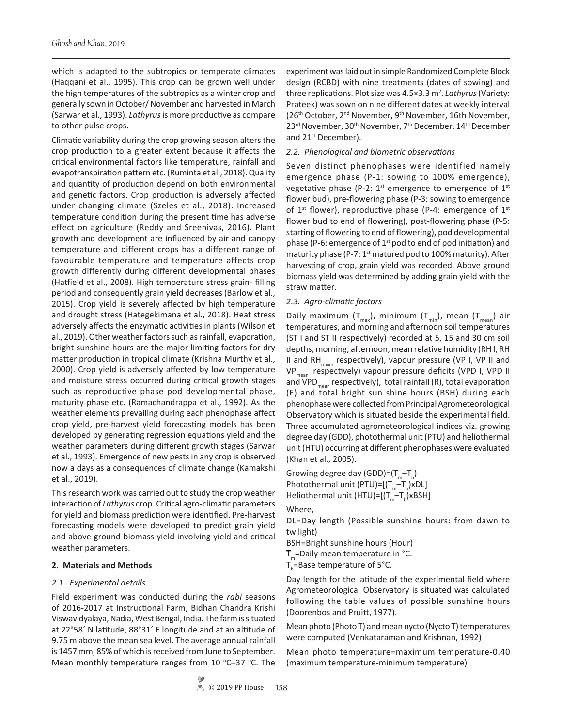which is adapted to the subtropics or temperate climates (Haqqani et al., 1995). This crop can be grown well under the high temperatures of the subtropics as a winter crop and generally sown in October/ November and harvested in March (Sarwar et al., 1993). *Lathyrus* is more productive as compare to other pulse crops.

Climatic variability during the crop growing season alters the crop production to a greater extent because it affects the critical environmental factors like temperature, rainfall and evapotranspiration pattern etc. (Ruminta et al., 2018). Quality and quantity of production depend on both environmental and genetic factors. Crop production is adversely affected under changing climate (Szeles et al., 2018). Increased temperature condition during the present time has adverse effect on agriculture (Reddy and Sreenivas, 2016). Plant growth and development are influenced by air and canopy temperature and different crops has a different range of favourable temperature and temperature affects crop growth differently during different developmental phases (Hatfield et al., 2008). High temperature stress grain- filling period and consequently grain yield decreases (Barlow et al., 2015). Crop yield is severely affected by high temperature and drought stress (Hategekimana et al., 2018). Heat stress adversely affects the enzymatic activities in plants (Wilson et al., 2019). Other weather factors such as rainfall, evaporation, bright sunshine hours are the major limiting factors for dry matter production in tropical climate (Krishna Murthy et al., 2000). Crop yield is adversely affected by low temperature and moisture stress occurred during critical growth stages such as reproductive phase pod developmental phase, maturity phase etc. (Ramachandrappa et al., 1992). As the weather elements prevailing during each phenophase affect crop yield, pre-harvest yield forecasting models has been developed by generating regression equations yield and the weather parameters during different growth stages (Sarwar et al., 1993). Emergence of new pests in any crop is observed now a days as a consequences of climate change (Kamakshi et al., 2019).

This research work was carried out to study the crop weather interaction of *Lathyrus* crop. Critical agro-climatic parameters for yield and biomass prediction were identified. Pre-harvest forecasting models were developed to predict grain yield and above ground biomass yield involving yield and critical weather parameters.

#### **2. Materials and Methods**

# *2.1. Experimental details*

Field experiment was conducted during the *rabi* seasons of 2016-2017 at Instructional Farm, Bidhan Chandra Krishi Viswavidyalaya, Nadia, West Bengal, India. The farm is situated at 22°58´ N latitude, 88°31´ E longitude and at an altitude of 9.75 m above the mean sea level. The average annual rainfall is 1457 mm, 85% of which is received from June to September. Mean monthly temperature ranges from  $10$  °C-37 °C. The experiment was laid out in simple Randomized Complete Block design (RCBD) with nine treatments (dates of sowing) and three replications. Plot size was 4.5×3.3 m<sup>2</sup>. Lathyrus (Variety: Prateek) was sown on nine different dates at weekly interval (26th October, 2nd November, 9th November, 16th November, 23<sup>rd</sup> November, 30<sup>th</sup> November, 7<sup>th</sup> December, 14<sup>th</sup> December and 21<sup>st</sup> December).

#### *2.2. Phenological and biometric observations*

Seven distinct phenophases were identified namely emergence phase (P-1: sowing to 100% emergence), vegetative phase (P-2:  $1^{st}$  emergence to emergence of  $1^{st}$ flower bud), pre-flowering phase (P-3: sowing to emergence of 1<sup>st</sup> flower), reproductive phase (P-4: emergence of 1<sup>st</sup> flower bud to end of flowering), post-flowering phase (P-5: starting of flowering to end of flowering), pod developmental phase (P-6: emergence of  $1<sup>st</sup>$  pod to end of pod initiation) and maturity phase (P-7:  $1<sup>st</sup>$  matured pod to 100% maturity). After harvesting of crop, grain yield was recorded. Above ground biomass yield was determined by adding grain yield with the straw matter.

#### *2.3. Agro-climatic factors*

Daily maximum  $(T_{max})$ , minimum  $(T_{min})$ , mean  $(T_{mean})$  air temperatures, and morning and afternoon soil temperatures (ST I and ST II respectively) recorded at 5, 15 and 30 cm soil depths, morning, afternoon, mean relative humidity (RH I, RH II and RH<sub>mean</sub> respectively), vapour pressure (VP I, VP II and VP<sub>mean</sub> respectively) vapour pressure deficits (VPD I, VPD II and VPD<sub>mean</sub> respectively), total rainfall (R), total evaporation (E) and total bright sun shine hours (BSH) during each phenophase were collected from Principal Agrometeorological Observatory which is situated beside the experimental field. Three accumulated agrometeorological indices viz. growing degree day (GDD), photothermal unit (PTU) and heliothermal unit (HTU) occurring at different phenophases were evaluated (Khan et al., 2005).

Growing degree day (GDD)= $(T_{m}-T_{b})$ Photothermal unit (PTU)=[ $(T_m-T_b)xDL$ ] Heliothermal unit (HTU)=[( $T_{m}$ –T<sub>b</sub>)xBSH]

Where,

DL=Day length (Possible sunshine hours: from dawn to twilight)

BSH=Bright sunshine hours (Hour)

 $T_m$ =Daily mean temperature in °C.

 $T_{b}$ =Base temperature of 5°C.

Day length for the latitude of the experimental field where Agrometeorological Observatory is situated was calculated following the table values of possible sunshine hours (Doorenbos and Pruitt, 1977).

Mean photo (Photo T) and mean nycto (Nycto T) temperatures were computed (Venkataraman and Krishnan, 1992)

Mean photo temperature=maximum temperature-0.40 (maximum temperature-minimum temperature)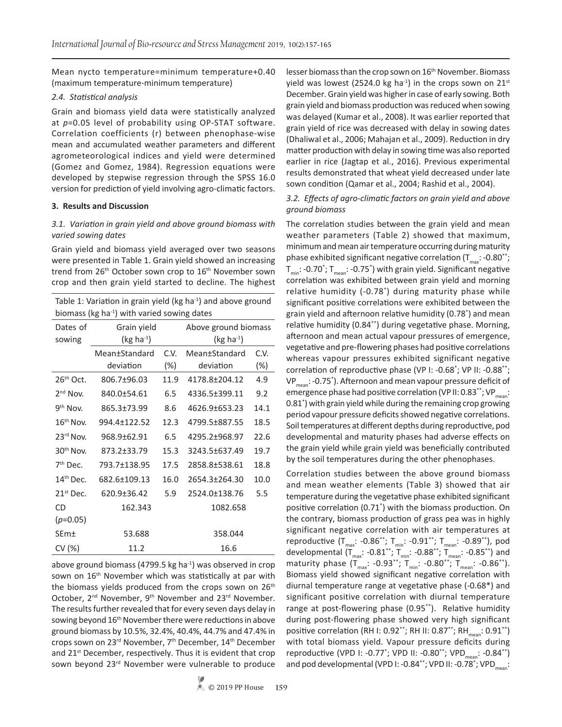Mean nycto temperature=minimum temperature+0.40 (maximum temperature-minimum temperature)

#### *2.4. Statistical analysis*

Grain and biomass yield data were statistically analyzed at *p*=0.05 level of probability using OP-STAT software. Correlation coefficients (r) between phenophase-wise mean and accumulated weather parameters and different agrometeorological indices and yield were determined (Gomez and Gomez, 1984). Regression equations were developed by stepwise regression through the SPSS 16.0 version for prediction of yield involving agro-climatic factors.

# **3. Results and Discussion**

# *3.1. Variation in grain yield and above ground biomass with varied sowing dates*

Grain yield and biomass yield averaged over two seasons were presented in Table 1. Grain yield showed an increasing trend from 26<sup>th</sup> October sown crop to 16<sup>th</sup> November sown crop and then grain yield started to decline. The highest

| Table 1: Variation in grain yield (kg ha <sup>-1</sup> ) and above ground |
|---------------------------------------------------------------------------|
| biomass (kg ha <sup>-1</sup> ) with varied sowing dates                   |

| Dates of<br>sowing    | Grain yield<br>$(kg ha-1)$ |        | Above ground biomass<br>$(kg ha-1)$ |        |  |  |
|-----------------------|----------------------------|--------|-------------------------------------|--------|--|--|
|                       | Mean±Standard              | C.V.   | Mean±Standard                       | C.V.   |  |  |
|                       | deviation                  | $(\%)$ | deviation                           | $(\%)$ |  |  |
| $26th$ Oct.           | 806.7±96.03                | 11.9   | 4178.8±204.12                       | 4.9    |  |  |
| $2nd$ Nov.            | 840.0±54.61                | 6.5    | 4336.5±399.11                       | 9.2    |  |  |
| $9th$ Nov.            | 865.3±73.99                | 8.6    | 4626.9±653.23                       | 14.1   |  |  |
| $16th$ Nov.           | 994.4±122.52               | 12.3   | 4799.5±887.55                       | 18.5   |  |  |
| $23rd$ Nov.           | 968.9±62.91                | 6.5    | 4295.2±968.97                       | 22.6   |  |  |
| 30 <sup>th</sup> Nov. | 873.2±33.79                | 15.3   | 3243.5±637.49                       | 19.7   |  |  |
| $7th$ Dec.            | 793.7±138.95               | 17.5   | 2858.8±538.61                       | 18.8   |  |  |
| $14th$ Dec.           | 682.6±109.13               | 16.0   | 2654.3±264.30                       | 10.0   |  |  |
| $21st$ Dec.           | 620.9±36.42                | 5.9    | 2524.0±138.76                       | 5.5    |  |  |
| CD                    | 162.343                    |        | 1082.658                            |        |  |  |
| $(p=0.05)$            |                            |        |                                     |        |  |  |
| SEm±                  | 53.688                     |        | 358.044                             |        |  |  |
| CV (%)                | 11.2                       |        | 16.6                                |        |  |  |

above ground biomass (4799.5 kg ha<sup>-1</sup>) was observed in crop sown on 16<sup>th</sup> November which was statistically at par with the biomass yields produced from the crops sown on  $26<sup>th</sup>$ October, 2<sup>nd</sup> November, 9<sup>th</sup> November and 23<sup>rd</sup> November. The results further revealed that for every seven days delay in sowing beyond 16<sup>th</sup> November there were reductions in above ground biomass by 10.5%, 32.4%, 40.4%, 44.7% and 47.4% in crops sown on 23rd November, 7th December, 14th December and  $21^{st}$  December, respectively. Thus it is evident that crop sown beyond 23<sup>rd</sup> November were vulnerable to produce lesser biomass than the crop sown on 16<sup>th</sup> November. Biomass yield was lowest (2524.0 kg ha<sup>-1</sup>) in the crops sown on 21st December. Grain yield was higher in case of early sowing. Both grain yield and biomass production was reduced when sowing was delayed (Kumar et al., 2008). It was earlier reported that grain yield of rice was decreased with delay in sowing dates (Dhaliwal et al., 2006; Mahajan et al., 2009). Reduction in dry matter production with delay in sowing time was also reported earlier in rice (Jagtap et al., 2016). Previous experimental results demonstrated that wheat yield decreased under late sown condition (Qamar et al., 2004; Rashid et al., 2004).

# *3.2. Effects of agro-climatic factors on grain yield and above ground biomass*

The correlation studies between the grain yield and mean weather parameters (Table 2) showed that maximum, minimum and mean air temperature occurring during maturity phase exhibited significant negative correlation ( $T_{\text{max}}$ : -0.80<sup>\*\*</sup>; T<sub>min</sub>: -0.70\*; T<sub>mean</sub>: -0.75\*) with grain yield. Significant negative correlation was exhibited between grain yield and morning relative humidity (-0.78\* ) during maturity phase while significant positive correlations were exhibited between the grain yield and afternoon relative humidity (0.78\* ) and mean relative humidity (0.84\*\*) during vegetative phase. Morning, afternoon and mean actual vapour pressures of emergence, vegetative and pre-flowering phases had positive correlations whereas vapour pressures exhibited significant negative correlation of reproductive phase (VP I: -0.68\* ; VP II: -0.88\*\*; VP<sub>mean</sub>: -0.75\*). Afternoon and mean vapour pressure deficit of emergence phase had positive correlation (VP II: 0.83\*\*; VP<sub>mean</sub>: 0.81\* ) with grain yield while during the remaining crop growing period vapour pressure deficits showed negative correlations. Soil temperatures at different depths during reproductive, pod developmental and maturity phases had adverse effects on the grain yield while grain yield was beneficially contributed by the soil temperatures during the other phenophases.

Correlation studies between the above ground biomass and mean weather elements (Table 3) showed that air temperature during the vegetative phase exhibited significant positive correlation (0.71\* ) with the biomass production. On the contrary, biomass production of grass pea was in highly significant negative correlation with air temperatures at reproductive (T<sub>max</sub>: -0.86\*\*; T<sub>min</sub>: -0.91\*\*; T<sub>mean</sub>: -0.89\*\*), pod developmental (T<sub>max</sub>: -0.81<sup>\*\*</sup>; T<sub>min</sub>: -0.88<sup>\*\*</sup>; T<sub>mean</sub>: -0.85<sup>\*\*</sup>) and maturity phase  $(T_{\text{max}}: -0.93^{**}; T_{\text{min}}: -0.80^{**}; T_{\text{mean}}: -0.86^{**}).$ Biomass yield showed significant negative correlation with diurnal temperature range at vegetative phase (-0.68\*) and significant positive correlation with diurnal temperature range at post-flowering phase (0.95\*\*). Relative humidity during post-flowering phase showed very high significant positive correlation (RH I: 0.92\*\*; RH II: 0.87\*\*; RH<sub>mean</sub>: 0.91\*\*) with total biomass yield. Vapour pressure deficits during reproductive (VPD I: -0.77<sup>\*</sup>; VPD II: -0.80<sup>\*\*</sup>; VPD<sub>mean</sub>: -0.84<sup>\*\*</sup>) and pod developmental (VPD I: -0.84\*\*; VPD II: -0.78\*; VPD<sub>mean</sub>: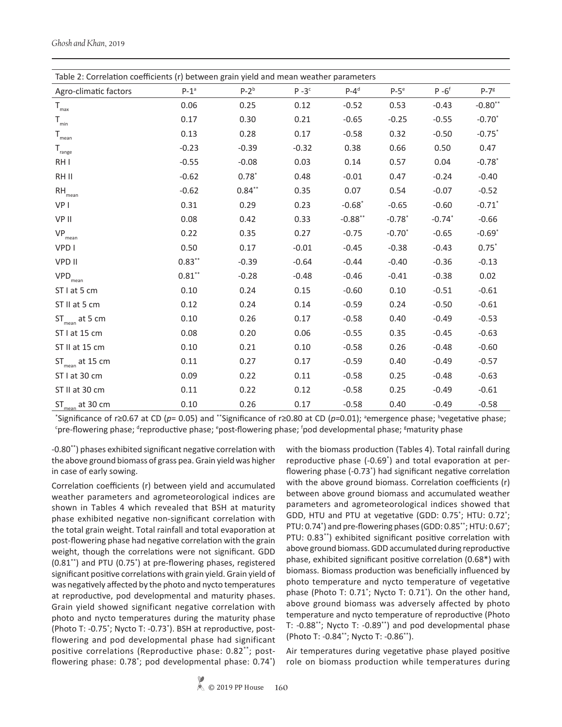| Table 2: Correlation coefficients (r) between grain yield and mean weather parameters |           |          |         |            |          |                      |                      |  |
|---------------------------------------------------------------------------------------|-----------|----------|---------|------------|----------|----------------------|----------------------|--|
| Agro-climatic factors                                                                 | $P-1^a$   | $P-2b$   | $P-3c$  | $P-4d$     | $P-5e$   | $P - 6$ <sup>f</sup> | $P-78$               |  |
| $\mathsf{T}_{\max}$                                                                   | 0.06      | 0.25     | 0.12    | $-0.52$    | 0.53     | $-0.43$              | $-0.80$ **           |  |
| $\mathsf{T}_{\min}$                                                                   | 0.17      | 0.30     | 0.21    | $-0.65$    | $-0.25$  | $-0.55$              | $-0.70*$             |  |
| $\mathsf{T}_{\mathsf{mean}}$                                                          | 0.13      | 0.28     | 0.17    | $-0.58$    | 0.32     | $-0.50$              | $-0.75*$             |  |
| $\mathsf{T}_{\text{range}}$                                                           | $-0.23$   | $-0.39$  | $-0.32$ | 0.38       | 0.66     | 0.50                 | 0.47                 |  |
| RH I                                                                                  | $-0.55$   | $-0.08$  | 0.03    | 0.14       | 0.57     | 0.04                 | $-0.78$ *            |  |
| RH II                                                                                 | $-0.62$   | $0.78*$  | 0.48    | $-0.01$    | 0.47     | $-0.24$              | $-0.40$              |  |
| $\mathsf{RH}_{\mathsf{mean}}$                                                         | $-0.62$   | $0.84**$ | 0.35    | 0.07       | 0.54     | $-0.07$              | $-0.52$              |  |
| VP I                                                                                  | 0.31      | 0.29     | 0.23    | $-0.68$ *  | $-0.65$  | $-0.60$              | $-0.71$ <sup>*</sup> |  |
| VP II                                                                                 | 0.08      | 0.42     | 0.33    | $-0.88***$ | $-0.78*$ | $-0.74*$             | $-0.66$              |  |
| $\mathsf{VP}_{\mathsf{mean}}$                                                         | 0.22      | 0.35     | 0.27    | $-0.75$    | $-0.70*$ | $-0.65$              | $-0.69*$             |  |
| VPD I                                                                                 | 0.50      | 0.17     | $-0.01$ | $-0.45$    | $-0.38$  | $-0.43$              | $0.75*$              |  |
| VPD II                                                                                | $0.83**$  | $-0.39$  | $-0.64$ | $-0.44$    | $-0.40$  | $-0.36$              | $-0.13$              |  |
| $\mathsf{VPD}_{\mathsf{mean}}$                                                        | $0.81***$ | $-0.28$  | $-0.48$ | $-0.46$    | $-0.41$  | $-0.38$              | 0.02                 |  |
| ST I at 5 cm                                                                          | 0.10      | 0.24     | 0.15    | $-0.60$    | 0.10     | $-0.51$              | $-0.61$              |  |
| ST II at 5 cm                                                                         | 0.12      | 0.24     | 0.14    | $-0.59$    | 0.24     | $-0.50$              | $-0.61$              |  |
| $ST_{\text{mean}}$ at 5 cm                                                            | 0.10      | 0.26     | 0.17    | $-0.58$    | 0.40     | $-0.49$              | $-0.53$              |  |
| ST I at 15 cm                                                                         | 0.08      | 0.20     | 0.06    | $-0.55$    | 0.35     | $-0.45$              | $-0.63$              |  |
| ST II at 15 cm                                                                        | 0.10      | 0.21     | 0.10    | $-0.58$    | 0.26     | $-0.48$              | $-0.60$              |  |
| $ST_{mean}$ at 15 cm                                                                  | 0.11      | 0.27     | 0.17    | $-0.59$    | 0.40     | $-0.49$              | $-0.57$              |  |
| ST I at 30 cm                                                                         | 0.09      | 0.22     | 0.11    | $-0.58$    | 0.25     | $-0.48$              | $-0.63$              |  |
| ST II at 30 cm                                                                        | 0.11      | 0.22     | 0.12    | $-0.58$    | 0.25     | $-0.49$              | $-0.61$              |  |
| $ST_{mean}$ at 30 cm                                                                  | 0.10      | 0.26     | 0.17    | $-0.58$    | 0.40     | $-0.49$              | $-0.58$              |  |

<sup>\*</sup>Significance of r≥0.67 at CD (*p*= 0.05) and \*\*Significance of r≥0.80 at CD (*p*=0.01); <sup>a</sup>emergence phase; <sup>b</sup>vegetative phase; <sup>c</sup>pre-flowering phase; <sup>d</sup>reproductive phase; <sup>e</sup>post-flowering phase; <sup>f</sup>pod developmental phase; <sup>g</sup>maturity phase

-0.80\*\*) phases exhibited significant negative correlation with the above ground biomass of grass pea. Grain yield was higher in case of early sowing.

Correlation coefficients (r) between yield and accumulated weather parameters and agrometeorological indices are shown in Tables 4 which revealed that BSH at maturity phase exhibited negative non-significant correlation with the total grain weight. Total rainfall and total evaporation at post-flowering phase had negative correlation with the grain weight, though the correlations were not significant. GDD (0.81<sup>\*\*</sup>) and PTU (0.75<sup>\*</sup>) at pre-flowering phases, registered significant positive correlations with grain yield. Grain yield of was negatively affected by the photo and nycto temperatures at reproductive, pod developmental and maturity phases. Grain yield showed significant negative correlation with photo and nycto temperatures during the maturity phase (Photo T: -0.75\* ; Nycto T: -0.73\* ). BSH at reproductive, postflowering and pod developmental phase had significant positive correlations (Reproductive phase: 0.82\*\*; postflowering phase: 0.78<sup>\*</sup>; pod developmental phase: 0.74<sup>\*</sup>) with the biomass production (Tables 4). Total rainfall during reproductive phase (-0.69\* ) and total evaporation at perflowering phase (-0.73\* ) had significant negative correlation with the above ground biomass. Correlation coefficients (r) between above ground biomass and accumulated weather parameters and agrometeorological indices showed that GDD, HTU and PTU at vegetative (GDD: 0.75<sup>\*</sup>; HTU: 0.72<sup>\*</sup>; PTU: 0.74<sup>\*</sup>) and pre-flowering phases (GDD: 0.85<sup>\*\*</sup>; HTU: 0.67<sup>\*</sup>; PTU: 0.83\*\*) exhibited significant positive correlation with above ground biomass. GDD accumulated during reproductive phase, exhibited significant positive correlation (0.68\*) with biomass. Biomass production was beneficially influenced by photo temperature and nycto temperature of vegetative phase (Photo T: 0.71\* ; Nycto T: 0.71\* ). On the other hand, above ground biomass was adversely affected by photo temperature and nycto temperature of reproductive (Photo T: -0.88\*\*; Nycto T: -0.89\*\*) and pod developmental phase (Photo T: -0.84\*\*; Nycto T: -0.86\*\*).

Air temperatures during vegetative phase played positive role on biomass production while temperatures during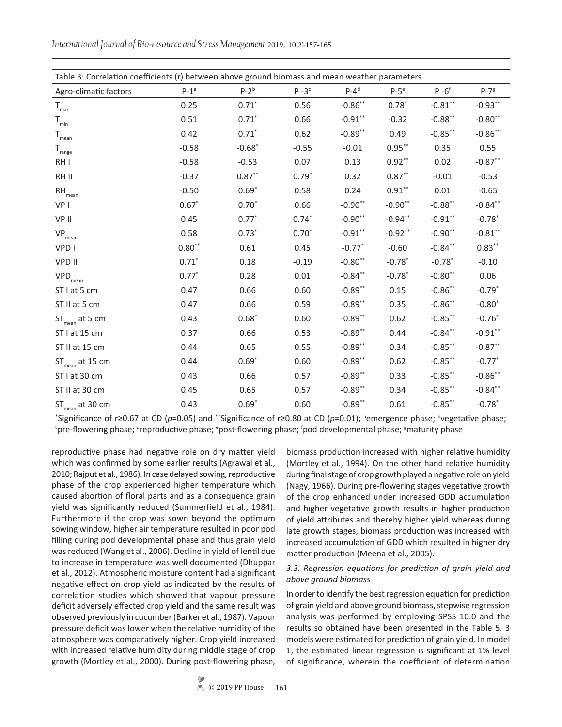*International Journal of Bio-resource and Stress Management* 2019, 10(2):157-165

| Table 3: Correlation coefficients (r) between above ground biomass and mean weather parameters |          |           |          |            |                      |                      |                      |  |
|------------------------------------------------------------------------------------------------|----------|-----------|----------|------------|----------------------|----------------------|----------------------|--|
|                                                                                                |          |           |          |            |                      |                      |                      |  |
| Agro-climatic factors                                                                          | $P-1^a$  | $P-2b$    | $P - 3c$ | $P-4d$     | $P-5e$               | $P - 6$ <sup>f</sup> | $P-78$               |  |
| $\mathsf{T}_{\max}$                                                                            | 0.25     | $0.71*$   | 0.56     | $-0.86$ ** | $0.78*$              | $-0.81$ **           | $-0.93***$           |  |
| $T_{min}$                                                                                      | 0.51     | $0.71*$   | 0.66     | $-0.91***$ | $-0.32$              | $-0.88$ **           | $-0.80$ **           |  |
| $\mathsf{T}_{\mathsf{mean}}$                                                                   | 0.42     | $0.71*$   | 0.62     | $-0.89**$  | 0.49                 | $-0.85***$           | $-0.86**$            |  |
| $T_{\text{range}}$                                                                             | $-0.58$  | $-0.68$ * | $-0.55$  | $-0.01$    | $0.95***$            | 0.35                 | 0.55                 |  |
| RH I                                                                                           | $-0.58$  | $-0.53$   | 0.07     | 0.13       | $0.92**$             | 0.02                 | $-0.87**$            |  |
| RH II                                                                                          | $-0.37$  | $0.87**$  | $0.79*$  | 0.32       | $0.87**$             | $-0.01$              | $-0.53$              |  |
| $\mathsf{RH}_{_{\sf mean}}$                                                                    | $-0.50$  | $0.69*$   | 0.58     | 0.24       | $0.91***$            | 0.01                 | $-0.65$              |  |
| VP I                                                                                           | $0.67*$  | $0.70*$   | 0.66     | $-0.90**$  | $-0.90**$            | $-0.88***$           | $-0.84***$           |  |
| VP II                                                                                          | 0.45     | $0.77*$   | $0.74*$  | $-0.90**$  | $-0.94**$            | $-0.91**$            | $-0.78$ *            |  |
| $\mathsf{VP}_{\mathsf{mean}}$                                                                  | 0.58     | $0.73*$   | $0.70*$  | $-0.91***$ | $-0.92**$            | $-0.90**$            | $-0.81$ **           |  |
| VPD I                                                                                          | $0.80**$ | 0.61      | 0.45     | $-0.77$ *  | $-0.60$              | $-0.84**$            | $0.83***$            |  |
| <b>VPD II</b>                                                                                  | $0.71*$  | 0.18      | $-0.19$  | $-0.80**$  | $-0.78$ <sup>*</sup> | $-0.78*$             | $-0.10$              |  |
| $\mathsf{VPD}_{\mathsf{mean}}$                                                                 | $0.77*$  | 0.28      | 0.01     | $-0.84$ ** | $-0.78$ *            | $-0.80**$            | 0.06                 |  |
| ST I at 5 cm                                                                                   | 0.47     | 0.66      | 0.60     | $-0.89**$  | 0.15                 | $-0.86**$            | $-0.79*$             |  |
| ST II at 5 cm                                                                                  | 0.47     | 0.66      | 0.59     | $-0.89**$  | 0.35                 | $-0.86**$            | $-0.80*$             |  |
| $ST_{\text{mean}}$ at 5 cm                                                                     | 0.43     | $0.68*$   | 0.60     | $-0.89**$  | 0.62                 | $-0.85***$           | $-0.76*$             |  |
| ST I at 15 cm                                                                                  | 0.37     | 0.66      | 0.53     | $-0.89**$  | 0.44                 | $-0.84**$            | $-0.91***$           |  |
| ST II at 15 cm                                                                                 | 0.44     | 0.65      | 0.55     | $-0.89**$  | 0.34                 | $-0.85**$            | $-0.87**$            |  |
| $ST_{mean}$ at 15 cm                                                                           | 0.44     | $0.69*$   | 0.60     | $-0.89**$  | 0.62                 | $-0.85***$           | $-0.77$ <sup>*</sup> |  |
| ST I at 30 cm                                                                                  | 0.43     | 0.66      | 0.57     | $-0.89**$  | 0.33                 | $-0.85***$           | $-0.86$ **           |  |
| ST II at 30 cm                                                                                 | 0.45     | 0.65      | 0.57     | $-0.89**$  | 0.34                 | $-0.85**$            | $-0.84**$            |  |
| $ST_{mean}$ at 30 cm                                                                           | 0.43     | $0.69*$   | 0.60     | $-0.89**$  | 0.61                 | $-0.85***$           | $-0.78$ <sup>*</sup> |  |

<sup>\*</sup>Significance of r≥0.67 at CD (p=0.05) and \*\*Significance of r≥0.80 at CD (p=0.01); <sup>a</sup>emergence phase; <sup>b</sup>vegetative phase; <sup>c</sup>pre-flowering phase; <sup>d</sup>reproductive phase; <sup>e</sup>post-flowering phase; <sup>f</sup>pod developmental phase; <sup>g</sup>maturity phase

reproductive phase had negative role on dry matter yield which was confirmed by some earlier results (Agrawal et al., 2010; Rajput et al., 1986). In case delayed sowing, reproductive phase of the crop experienced higher temperature which caused abortion of floral parts and as a consequence grain yield was significantly reduced (Summerfield et al., 1984). Furthermore if the crop was sown beyond the optimum sowing window, higher air temperature resulted in poor pod filling during pod developmental phase and thus grain yield was reduced (Wang et al., 2006). Decline in yield of lentil due to increase in temperature was well documented (Dhuppar et al., 2012). Atmospheric moisture content had a significant negative effect on crop yield as indicated by the results of correlation studies which showed that vapour pressure deficit adversely effected crop yield and the same result was observed previously in cucumber (Barker et al., 1987). Vapour pressure deficit was lower when the relative humidity of the atmosphere was comparatively higher. Crop yield increased with increased relative humidity during middle stage of crop growth (Mortley et al., 2000). During post-flowering phase,

biomass production increased with higher relative humidity (Mortley et al., 1994). On the other hand relative humidity during final stage of crop growth played a negative role on yield (Nagy, 1966). During pre-flowering stages vegetative growth of the crop enhanced under increased GDD accumulation and higher vegetative growth results in higher production of yield attributes and thereby higher yield whereas during late growth stages, biomass production was increased with increased accumulation of GDD which resulted in higher dry matter production (Meena et al., 2005).

# *3.3. Regression equations for prediction of grain yield and above ground biomass*

In order to identify the best regression equation for prediction of grain yield and above ground biomass, stepwise regression analysis was performed by employing SPSS 10.0 and the results so obtained have been presented in the Table 5. 3 models were estimated for prediction of grain yield. In model 1, the estimated linear regression is significant at 1% level of significance, wherein the coefficient of determination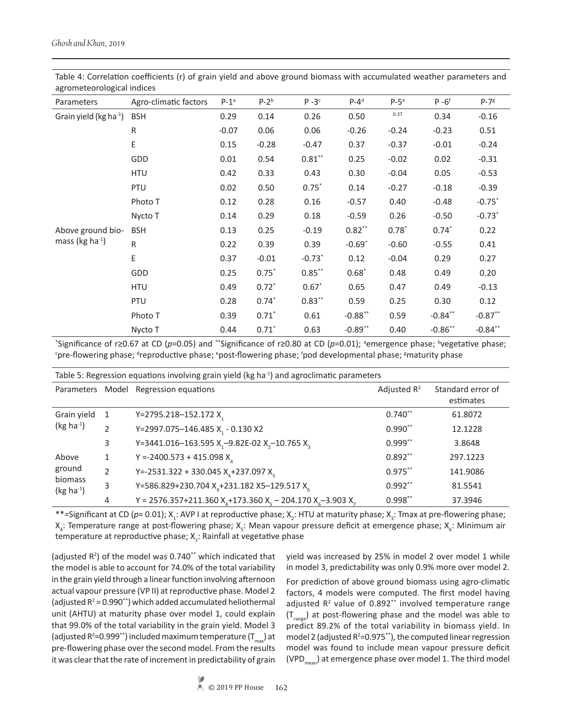| agrometeorological indices                 |                       |         |         |           |            |         |                      |                      |
|--------------------------------------------|-----------------------|---------|---------|-----------|------------|---------|----------------------|----------------------|
| Parameters                                 | Agro-climatic factors | $P-1^a$ | $P-2b$  | $P - 3c$  | $P-4d$     | $P-5e$  | $P - 6$ <sup>f</sup> | $P-78$               |
| Grain yield ( $kg$ ha <sup>-1</sup> )      | <b>BSH</b>            | 0.29    | 0.14    | 0.26      | 0.50       | 0.37    | 0.34                 | $-0.16$              |
|                                            | R                     | $-0.07$ | 0.06    | 0.06      | $-0.26$    | $-0.24$ | $-0.23$              | 0.51                 |
|                                            | E                     | 0.15    | $-0.28$ | $-0.47$   | 0.37       | $-0.37$ | $-0.01$              | $-0.24$              |
|                                            | GDD                   | 0.01    | 0.54    | $0.81***$ | 0.25       | $-0.02$ | 0.02                 | $-0.31$              |
|                                            | <b>HTU</b>            | 0.42    | 0.33    | 0.43      | 0.30       | $-0.04$ | 0.05                 | $-0.53$              |
|                                            | PTU                   | 0.02    | 0.50    | $0.75*$   | 0.14       | $-0.27$ | $-0.18$              | $-0.39$              |
|                                            | Photo T               | 0.12    | 0.28    | 0.16      | $-0.57$    | 0.40    | $-0.48$              | $-0.75$ *            |
| Above ground bio-<br>mass (kg ha $^{-1}$ ) | Nycto T               | 0.14    | 0.29    | 0.18      | $-0.59$    | 0.26    | $-0.50$              | $-0.73$ <sup>*</sup> |
|                                            | <b>BSH</b>            | 0.13    | 0.25    | $-0.19$   | $0.82**$   | $0.78*$ | $0.74*$              | 0.22                 |
|                                            | R                     | 0.22    | 0.39    | 0.39      | $-0.69*$   | $-0.60$ | $-0.55$              | 0.41                 |
|                                            | E                     | 0.37    | $-0.01$ | $-0.73*$  | 0.12       | $-0.04$ | 0.29                 | 0.27                 |
|                                            | GDD                   | 0.25    | $0.75*$ | $0.85***$ | $0.68*$    | 0.48    | 0.49                 | 0.20                 |
|                                            | <b>HTU</b>            | 0.49    | $0.72*$ | $0.67*$   | 0.65       | 0.47    | 0.49                 | $-0.13$              |
|                                            | PTU                   | 0.28    | $0.74*$ | $0.83***$ | 0.59       | 0.25    | 0.30                 | 0.12                 |
|                                            | Photo T               | 0.39    | $0.71*$ | 0.61      | $-0.88$ ** | 0.59    | $-0.84**$            | $-0.87**$            |
|                                            | Nycto T               | 0.44    | $0.71*$ | 0.63      | $-0.89**$  | 0.40    | $-0.86**$            | $-0.84***$           |

Table 4: Correlation coefficients (r) of grain yield and above ground biomass with accumulated weather parameters and agrometeorological indices

<sup>\*</sup>Significance of r≥0.67 at CD (p=0.05) and \*\*Significance of r≥0.80 at CD (p=0.01); <sup>a</sup>emergence phase; <sup>b</sup>vegetative phase; <sup>c</sup>pre-flowering phase; <sup>d</sup>reproductive phase; <sup>e</sup>post-flowering phase; <sup>f</sup>pod developmental phase; <sup>g</sup>maturity phase

| Table 5: Regression equations involving grain yield (kg ha <sup>-1</sup> ) and agroclimatic parameters |               |                                                                                                            |                |                                |  |  |  |
|--------------------------------------------------------------------------------------------------------|---------------|------------------------------------------------------------------------------------------------------------|----------------|--------------------------------|--|--|--|
|                                                                                                        |               | Parameters Model Regression equations                                                                      | Adjusted $R^2$ | Standard error of<br>estimates |  |  |  |
| Grain yield                                                                                            | -1            | Y=2795.218-152.172 $X_1$                                                                                   | $0.740**$      | 61.8072                        |  |  |  |
| $(kg ha-1)$                                                                                            | $\mathcal{P}$ | Y=2997.075-146.485 X <sub>1</sub> - 0.130 X2                                                               | $0.990**$      | 12.1228                        |  |  |  |
|                                                                                                        | 3             | Y=3441.016-163.595 X <sub>1</sub> -9.82E-02 X <sub>2</sub> -10.765 X <sub>2</sub>                          | $0.999**$      | 3.8648                         |  |  |  |
| Above                                                                                                  | 1             | Y = -2400.573 + 415.098 $X4$                                                                               | $0.892**$      | 297.1223                       |  |  |  |
| ground<br>biomass<br>$(kg ha-1)$                                                                       | $\mathcal{L}$ | Y=-2531.322 + 330.045 $Xa$ +237.097 $Xc$                                                                   | $0.975***$     | 141.9086                       |  |  |  |
|                                                                                                        | 3             | Y=586.829+230.704 X <sub>4</sub> +231.182 X5-129.517 X <sub>c</sub>                                        | $0.992**$      | 81.5541                        |  |  |  |
|                                                                                                        | 4             | Y = 2576.357+211.360 X <sub>4</sub> +173.360 X <sub>5</sub> – 204.170 X <sub>6</sub> -3.903 X <sub>7</sub> | $0.998**$      | 37.3946                        |  |  |  |

\*\*=Significant at CD (p= 0.01); X<sub>1</sub>: AVP I at reproductive phase; X<sub>2</sub>: HTU at maturity phase; X<sub>3</sub>: Tmax at pre-flowering phase;  $X_4$ : Temperature range at post-flowering phase;  $X_5$ : Mean vapour pressure deficit at emergence phase;  $X_6$ : Minimum air temperature at reproductive phase;  $X_{7}$ : Rainfall at vegetative phase

(adjusted  $R^2$ ) of the model was 0.740\*\* which indicated that the model is able to account for 74.0% of the total variability in the grain yield through a linear function involving afternoon actual vapour pressure (VP II) at reproductive phase. Model 2 (adjusted  $R^2 = 0.990**$ ) which added accumulated heliothermal unit (AHTU) at maturity phase over model 1, could explain that 99.0% of the total variability in the grain yield. Model 3 (adjusted R<sup>2</sup>=0.999\*\*) included maximum temperature (T<sub>max</sub>) at pre-flowering phase over the second model. From the results it was clear that the rate of increment in predictability of grain

yield was increased by 25% in model 2 over model 1 while in model 3, predictability was only 0.9% more over model 2.

For prediction of above ground biomass using agro-climatic factors, 4 models were computed. The first model having adjusted  $R^2$  value of 0.892<sup>\*\*</sup> involved temperature range  $(T<sub>range</sub>)$  at post-flowering phase and the model was able to predict 89.2% of the total variability in biomass yield. In model 2 (adjusted  $R^2$ =0.975\*\*), the computed linear regression model was found to include mean vapour pressure deficit (VPD<sub>mean</sub>) at emergence phase over model 1. The third model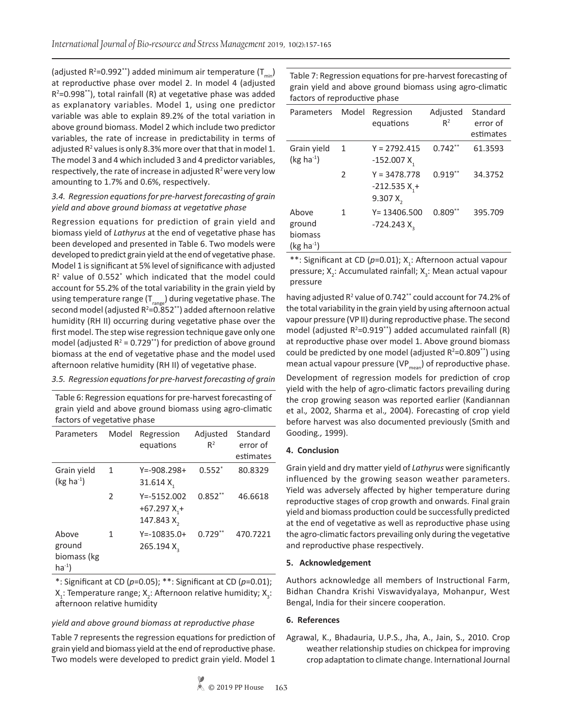(adjusted R<sup>2</sup>=0.992<sup>\*\*</sup>) added minimum air temperature (T<sub>min</sub>) at reproductive phase over model 2. In model 4 (adjusted  $R^2$ =0.998\*\*), total rainfall (R) at vegetative phase was added as explanatory variables. Model 1, using one predictor variable was able to explain 89.2% of the total variation in above ground biomass. Model 2 which include two predictor variables, the rate of increase in predictability in terms of adjusted  $R^2$  values is only 8.3% more over that that in model 1. The model 3 and 4 which included 3 and 4 predictor variables, respectively, the rate of increase in adjusted  $R<sup>2</sup>$  were very low amounting to 1.7% and 0.6%, respectively.

# *3.4. Regression equations for pre-harvest forecasting of grain yield and above ground biomass at vegetative phase*

Regression equations for prediction of grain yield and biomass yield of *Lathyrus* at the end of vegetative phase has been developed and presented in Table 6. Two models were developed to predict grain yield at the end of vegetative phase. Model 1 is significant at 5% level of significance with adjusted  $R<sup>2</sup>$  value of 0.552 $*$  which indicated that the model could account for 55.2% of the total variability in the grain yield by using temperature range  $(T_{r_0}$  during vegetative phase. The second model (adjusted  $R^2$ =0.852\*\*) added afternoon relative humidity (RH II) occurring during vegetative phase over the first model. The step wise regression technique gave only one model (adjusted  $R^2 = 0.729**$ ) for prediction of above ground biomass at the end of vegetative phase and the model used afternoon relative humidity (RH II) of vegetative phase.

# *3.5. Regression equations for pre-harvest forecasting of grain*

Table 6: Regression equations for pre-harvest forecasting of grain yield and above ground biomass using agro-climatic factors of vegetative phase

| Parameters                                  | Model         | Regression<br>equations                                      | Adjusted<br>$R^2$ | Standard<br>error of<br>estimates |
|---------------------------------------------|---------------|--------------------------------------------------------------|-------------------|-----------------------------------|
| Grain yield<br>$(kg ha-1)$                  | 1             | $Y = -908.298 +$<br>31.614 $X_1$                             | $0.552*$          | 80.8329                           |
|                                             | $\mathcal{P}$ | $Y = -5152.002$<br>$+67.297 X_{1}$<br>147.843 X <sub>2</sub> | $0.852**$         | 46.6618                           |
| Above<br>ground<br>biomass (kg<br>$ha^{-1}$ | 1             | $Y = -10835.0+$<br>265.194 X <sub>2</sub>                    | $0.729**$         | 470.7221                          |

\*: Significant at CD (*p*=0.05); \*\*: Significant at CD (*p*=0.01);  $X_1$ : Temperature range;  $X_2$ : Afternoon relative humidity;  $X_3$ : afternoon relative humidity

# *yield and above ground biomass at reproductive phase*

Table 7 represents the regression equations for prediction of grain yield and biomass yield at the end of reproductive phase. Two models were developed to predict grain yield. Model 1 Table 7: Regression equations for pre-harvest forecasting of grain yield and above ground biomass using agro-climatic factors of reproductive phase

| Parameters                                | Model         | Regression<br>equations                        | Adjusted<br>$R^2$ | Standard<br>error of<br>estimates |
|-------------------------------------------|---------------|------------------------------------------------|-------------------|-----------------------------------|
| Grain yield<br>$(kg ha-1)$                | $\mathbf{1}$  | $Y = 2792.415$<br>$-152.007 X,$                | $0.742**$         | 61.3593                           |
|                                           | $\mathfrak z$ | $Y = 3478.778$<br>$-212.535 X_1 +$<br>9.307 X, | $0.919**$         | 34.3752                           |
| Above<br>ground<br>biomass<br>$(kg ha-1)$ | 1             | $Y = 13406.500$<br>$-724.243$ X <sub>2</sub>   | $0.809**$         | 395.709                           |

\*\*: Significant at CD (p=0.01); X<sub>1</sub>: Afternoon actual vapour pressure;  $X_2$ : Accumulated rainfall;  $X_3$ : Mean actual vapour pressure

having adjusted R<sup>2</sup> value of 0.742<sup>\*\*</sup> could account for 74.2% of the total variability in the grain yield by using afternoon actual vapour pressure (VP II) during reproductive phase. The second model (adjusted  $R^2$ =0.919<sup>\*\*</sup>) added accumulated rainfall (R) at reproductive phase over model 1. Above ground biomass could be predicted by one model (adjusted  $R^2 = 0.809**$ ) using mean actual vapour pressure (VP $_{\text{mean}}$ ) of reproductive phase.

Development of regression models for prediction of crop yield with the help of agro-climatic factors prevailing during the crop growing season was reported earlier (Kandiannan et al.*,* 2002, Sharma et al.*,* 2004). Forecasting of crop yield before harvest was also documented previously (Smith and Gooding*.,* 1999).

# **4. Conclusion**

Grain yield and dry matter yield of *Lathyrus* were significantly influenced by the growing season weather parameters. Yield was adversely affected by higher temperature during reproductive stages of crop growth and onwards. Final grain yield and biomass production could be successfully predicted at the end of vegetative as well as reproductive phase using the agro-climatic factors prevailing only during the vegetative and reproductive phase respectively.

#### **5. Acknowledgement**

Authors acknowledge all members of Instructional Farm, Bidhan Chandra Krishi Viswavidyalaya, Mohanpur, West Bengal, India for their sincere cooperation.

#### **6. References**

Agrawal, K., Bhadauria, U.P.S., Jha, A., Jain, S., 2010. Crop weather relationship studies on chickpea for improving crop adaptation to climate change. International Journal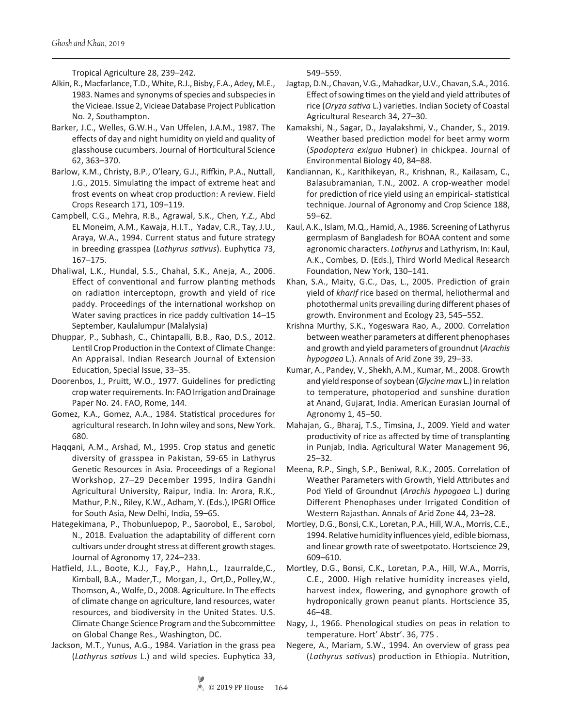Tropical Agriculture 28, 239–242.

- Alkin, R., Macfarlance, T.D., White, R.J., Bisby, F.A., Adey, M.E., 1983. Names and synonyms of species and subspecies in the Vicieae. Issue 2, Vicieae Database Project Publication No. 2, Southampton.
- Barker, J.C., Welles, G.W.H., Van Uffelen, J.A.M., 1987. The effects of day and night humidity on yield and quality of glasshouse cucumbers. Journal of Horticultural Science 62, 363–370.
- Barlow, K.M., Christy, B.P., O'leary, G.J., Riffkin, P.A., Nuttall, J.G., 2015. Simulating the impact of extreme heat and frost events on wheat crop production: A review. Field Crops Research 171, 109–119.
- Campbell, C.G., Mehra, R.B., Agrawal, S.K., Chen, Y.Z., Abd EL Moneim, A.M., Kawaja, H.I.T., Yadav, C.R., Tay, J.U., Araya, W.A., 1994. Current status and future strategy in breeding grasspea (*Lathyrus sativus*). Euphytica 73, 167–175.
- Dhaliwal, L.K., Hundal, S.S., Chahal, S.K., Aneja, A., 2006. Effect of conventional and furrow planting methods on radiation interceptopn, growth and yield of rice paddy. Proceedings of the international workshop on Water saving practices in rice paddy cultivation 14-15 September, Kaulalumpur (Malalysia)
- Dhuppar, P., Subhash, C., Chintapalli, B.B., Rao, D.S., 2012. Lentil Crop Production in the Context of Climate Change: An Appraisal. Indian Research Journal of Extension Education, Special Issue, 33–35.
- Doorenbos, J., Pruitt, W.O., 1977. Guidelines for predicting crop water requirements. In: FAO Irrigation and Drainage Paper No. 24. FAO, Rome, 144.
- Gomez, K.A., Gomez, A.A., 1984. Statistical procedures for agricultural research. In John wiley and sons, New York. 680.
- Haqqani, A.M., Arshad, M., 1995. Crop status and genetic diversity of grasspea in Pakistan, 59-65 in Lathyrus Genetic Resources in Asia. Proceedings of a Regional Workshop, 27–29 December 1995, Indira Gandhi Agricultural University, Raipur, India. In: Arora, R.K., Mathur, P.N., Riley, K.W., Adham, Y. (Eds.), IPGRI Office for South Asia, New Delhi, India, 59–65.
- Hategekimana, P., Thobunluepop, P., Saorobol, E., Sarobol, N., 2018. Evaluation the adaptability of different corn cultivars under drought stress at different growth stages. Journal of Agronomy 17, 224–233.
- Hatfield, J.L., Boote, K.J., Fay,P., Hahn,L., Izaurralde,C., Kimball, B.A., Mader,T., Morgan, J., Ort,D., Polley,W., Thomson, A., Wolfe, D., 2008. Agriculture. In The effects of climate change on agriculture, land resources, water resources, and biodiversity in the United States. U.S. Climate Change Science Program and the Subcommittee on Global Change Res., Washington, DC.
- Jackson, M.T., Yunus, A.G., 1984. Variation in the grass pea (*Lathyrus sativus* L.) and wild species. Euphytica 33,

549–559.

- Jagtap, D.N., Chavan, V.G., Mahadkar, U.V., Chavan, S.A., 2016. Effect of sowing times on the yield and yield attributes of rice (*Oryza sativa* L.) varieties. Indian Society of Coastal Agricultural Research 34, 27–30.
- Kamakshi, N., Sagar, D., Jayalakshmi, V., Chander, S., 2019. Weather based prediction model for beet army worm (*Spodoptera exigua* Hubner) in chickpea. Journal of Environmental Biology 40, 84–88.
- Kandiannan, K., Karithikeyan, R., Krishnan, R., Kailasam, C., Balasubramanian, T.N., 2002. A crop-weather model for prediction of rice yield using an empirical- statistical technique. Journal of Agronomy and Crop Science 188, 59–62.
- Kaul, A.K., Islam, M.Q., Hamid, A., 1986. Screening of Lathyrus germplasm of Bangladesh for BOAA content and some agronomic characters. *Lathyrus* and Lathyrism, In: Kaul, A.K., Combes, D. (Eds.), Third World Medical Research Foundation, New York, 130–141.
- Khan, S.A., Maity, G.C., Das, L., 2005. Prediction of grain yield of *kharif* rice based on thermal, heliothermal and photothermal units prevailing during different phases of growth. Environment and Ecology 23, 545–552.
- Krishna Murthy, S.K., Yogeswara Rao, A., 2000. Correlation between weather parameters at different phenophases and growth and yield parameters of groundnut (*Arachis hypogaea* L.). Annals of Arid Zone 39, 29–33.
- Kumar, A., Pandey, V., Shekh, A.M., Kumar, M., 2008. Growth and yield response of soybean (*Glycine max* L.) in relation to temperature, photoperiod and sunshine duration at Anand, Gujarat, India. American Eurasian Journal of Agronomy 1, 45–50.
- Mahajan, G., Bharaj, T.S., Timsina, J., 2009. Yield and water productivity of rice as affected by time of transplanting in Punjab, India. Agricultural Water Management 96, 25–32.
- Meena, R.P., Singh, S.P., Beniwal, R.K., 2005. Correlation of Weather Parameters with Growth, Yield Attributes and Pod Yield of Groundnut (*Arachis hypogaea* L.) during Different Phenophases under Irrigated Condition of Western Rajasthan. Annals of Arid Zone 44, 23–28.
- Mortley, D.G., Bonsi, C.K., Loretan, P.A., Hill, W.A., Morris, C.E., 1994. Relative humidity influences yield, edible biomass, and linear growth rate of sweetpotato. Hortscience 29, 609–610.
- Mortley, D.G., Bonsi, C.K., Loretan, P.A., Hill, W.A., Morris, C.E., 2000. High relative humidity increases yield, harvest index, flowering, and gynophore growth of hydroponically grown peanut plants. Hortscience 35, 46–48.
- Nagy, J., 1966. Phenological studies on peas in relation to temperature. Hort' Abstr'. 36, 775 .
- Negere, A., Mariam, S.W., 1994. An overview of grass pea (*Lathyrus sativus*) production in Ethiopia. Nutrition,